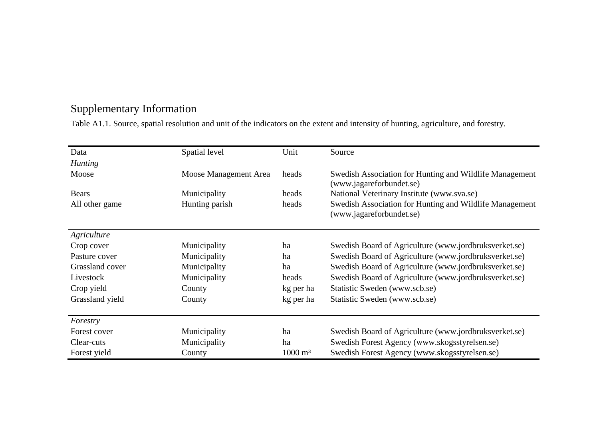# Supplementary Information

Table A1.1. Source, spatial resolution and unit of the indicators on the extent and intensity of hunting, agriculture, and forestry.

| Data            | Spatial level         | Unit                   | Source                                                                              |
|-----------------|-----------------------|------------------------|-------------------------------------------------------------------------------------|
| <b>Hunting</b>  |                       |                        |                                                                                     |
| Moose           | Moose Management Area | heads                  | Swedish Association for Hunting and Wildlife Management<br>(www.jagareforbundet.se) |
| <b>Bears</b>    | Municipality          | heads                  | National Veterinary Institute (www.sva.se)                                          |
| All other game  | Hunting parish        | heads                  | Swedish Association for Hunting and Wildlife Management<br>(www.jagareforbundet.se) |
| Agriculture     |                       |                        |                                                                                     |
| Crop cover      | Municipality          | ha                     | Swedish Board of Agriculture (www.jordbruksverket.se)                               |
| Pasture cover   | Municipality          | ha                     | Swedish Board of Agriculture (www.jordbruksverket.se)                               |
| Grassland cover | Municipality          | ha                     | Swedish Board of Agriculture (www.jordbruksverket.se)                               |
| Livestock       | Municipality          | heads                  | Swedish Board of Agriculture (www.jordbruksverket.se)                               |
| Crop yield      | County                | kg per ha              | Statistic Sweden (www.scb.se)                                                       |
| Grassland yield | County                | kg per ha              | Statistic Sweden (www.scb.se)                                                       |
| Forestry        |                       |                        |                                                                                     |
| Forest cover    | Municipality          | ha                     | Swedish Board of Agriculture (www.jordbruksverket.se)                               |
| Clear-cuts      | Municipality          | ha                     | Swedish Forest Agency (www.skogsstyrelsen.se)                                       |
| Forest yield    | County                | $1000 \; \mathrm{m}^3$ | Swedish Forest Agency (www.skogsstyrelsen.se)                                       |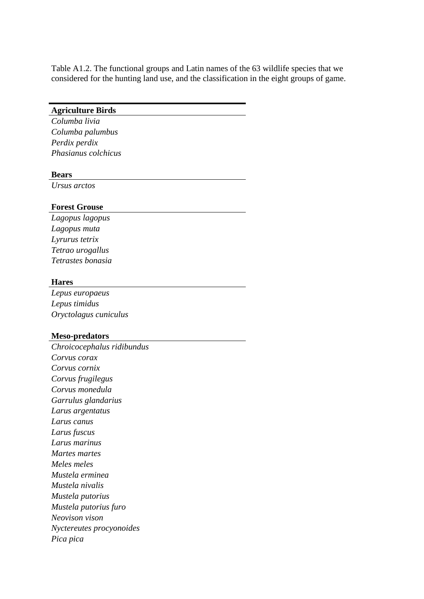Table A1.2. The functional groups and Latin names of the 63 wildlife species that we considered for the hunting land use, and the classification in the eight groups of game.

## **Agriculture Birds**

*Columba livia Columba palumbus Perdix perdix Phasianus colchicus*

#### **Bears**

*Ursus arctos*

## **Forest Grouse**

*Lagopus lagopus Lagopus muta Lyrurus tetrix Tetrao urogallus Tetrastes bonasia*

### **Hares**

*Lepus europaeus Lepus timidus Oryctolagus cuniculus*

### **Meso-predators**

*Chroicocephalus ridibundus Corvus corax Corvus cornix Corvus frugilegus Corvus monedula Garrulus glandarius Larus argentatus Larus canus Larus fuscus Larus marinus Martes martes Meles meles Mustela erminea Mustela nivalis Mustela putorius Mustela putorius furo Neovison vison Nyctereutes procyonoides Pica pica*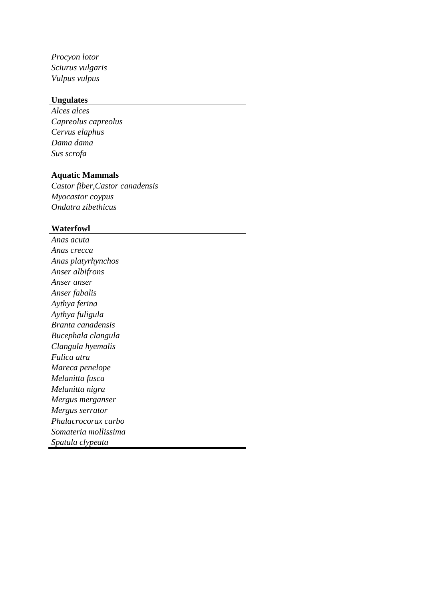*Procyon lotor Sciurus vulgaris Vulpus vulpus*

## **Ungulates**

*Alces alces Capreolus capreolus Cervus elaphus Dama dama Sus scrofa*

## **Aquatic Mammals**

*Castor fiber,Castor canadensis Myocastor coypus Ondatra zibethicus*

#### **Waterfowl**

*Anas acuta Anas crecca Anas platyrhynchos Anser albifrons Anser anser Anser fabalis Aythya ferina Aythya fuligula Branta canadensis Bucephala clangula Clangula hyemalis Fulica atra Mareca penelope Melanitta fusca Melanitta nigra Mergus merganser Mergus serrator Phalacrocorax carbo Somateria mollissima Spatula clypeata*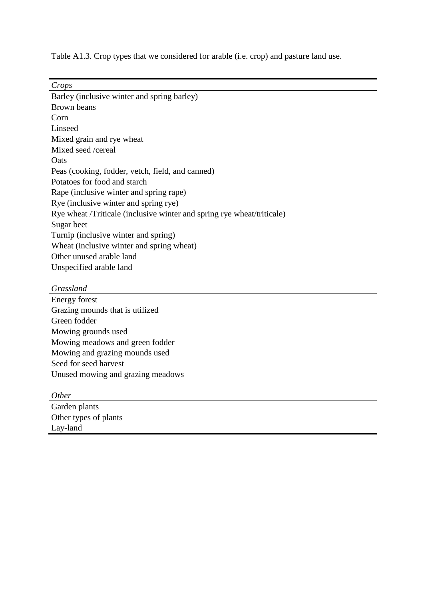Table A1.3. Crop types that we considered for arable (i.e. crop) and pasture land use.

*Crops*

| Barley (inclusive winter and spring barley)                            |
|------------------------------------------------------------------------|
| Brown beans                                                            |
| Corn                                                                   |
| Linseed                                                                |
| Mixed grain and rye wheat                                              |
| Mixed seed /cereal                                                     |
| <b>O</b> ats                                                           |
| Peas (cooking, fodder, vetch, field, and canned)                       |
| Potatoes for food and starch                                           |
| Rape (inclusive winter and spring rape)                                |
| Rye (inclusive winter and spring rye)                                  |
| Rye wheat /Triticale (inclusive winter and spring rye wheat/triticale) |
| Sugar beet                                                             |
| Turnip (inclusive winter and spring)                                   |
| Wheat (inclusive winter and spring wheat)                              |
| Other unused arable land                                               |
| Unspecified arable land                                                |
|                                                                        |

## *Grassland*

Energy forest Grazing mounds that is utilized Green fodder Mowing grounds used Mowing meadows and green fodder Mowing and grazing mounds used Seed for seed harvest Unused mowing and grazing meadows

| <i>Other</i>          |  |
|-----------------------|--|
| Garden plants         |  |
| Other types of plants |  |
| Lay-land              |  |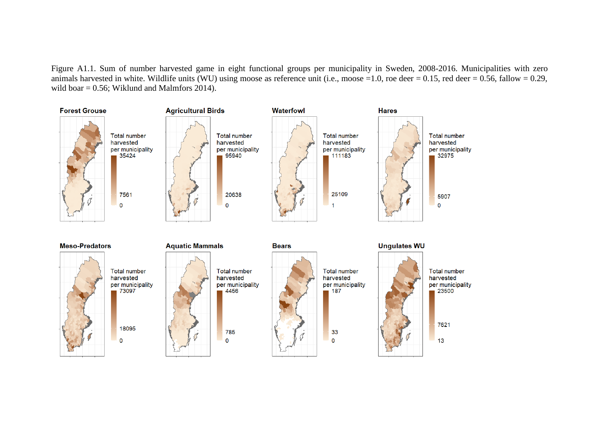Figure A1.1. Sum of number harvested game in eight functional groups per municipality in Sweden, 2008-2016. Municipalities with zero animals harvested in white. Wildlife units (WU) using moose as reference unit (i.e., moose =1.0, roe deer = 0.15, red deer = 0.56, fallow = 0.29, wild boar  $= 0.56$ ; Wiklund and Malmfors 2014).

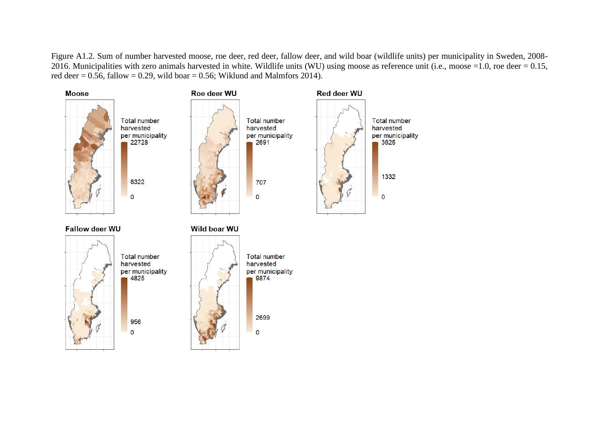Figure A1.2. Sum of number harvested moose, roe deer, red deer, fallow deer, and wild boar (wildlife units) per municipality in Sweden, 2008- 2016. Municipalities with zero animals harvested in white. Wildlife units (WU) using moose as reference unit (i.e., moose  $=1.0$ , roe deer  $= 0.15$ , red deer =  $0.56$ , fallow = 0.29, wild boar = 0.56; Wiklund and Malmfors 2014).